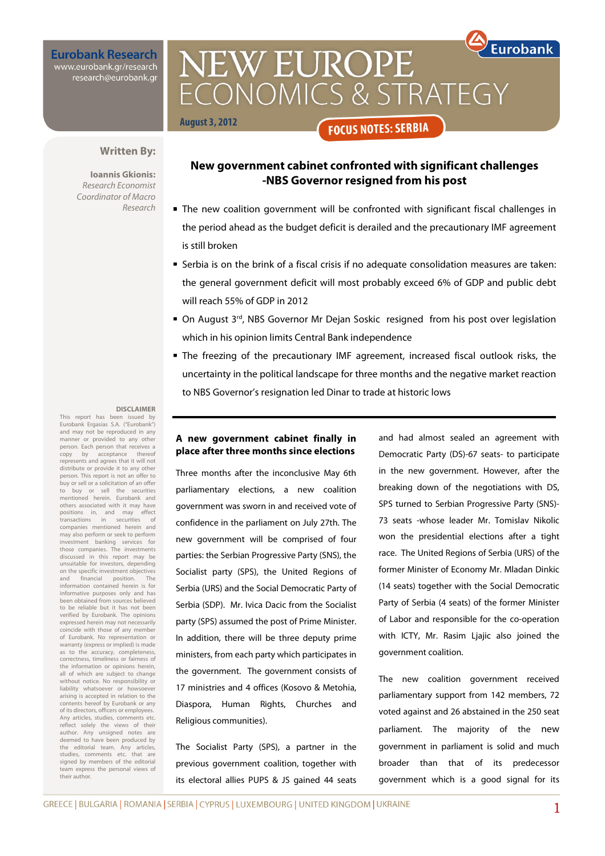**Eurobank Research** www.eurobank.gr/research

research@eurobank.gr

**Eurobank NEW EUROPE** CONOMICS & STRATEGY **August 3, 2012 FOCUS NOTES: SERBIA** 

#### **Written By:**

**Ioannis Gkionis:**  Research Economist Coordinator of Macro Research

### **New government cabinet confronted with significant challenges -NBS Governor resigned from his post**

- The new coalition government will be confronted with significant fiscal challenges in the period ahead as the budget deficit is derailed and the precautionary IMF agreement is still broken
- Serbia is on the brink of a fiscal crisis if no adequate consolidation measures are taken: the general government deficit will most probably exceed 6% of GDP and public debt will reach 55% of GDP in 2012
- $\bullet$  On August 3<sup>rd</sup>, NBS Governor Mr Dejan Soskic resigned from his post over legislation which in his opinion limits Central Bank independence
- The freezing of the precautionary IMF agreement, increased fiscal outlook risks, the uncertainty in the political landscape for three months and the negative market reaction to NBS Governor's resignation led Dinar to trade at historic lows

#### **DISCLAIMER**

This report has been issued by Eurobank Ergasias S.A. ("Eurobank") and may not be reproduced in any manner or provided to any other person. Each person that receives a copy by acceptance thereof represents and agrees that it will not distribute or provide it to any other person. This report is not an offer to buy or sell or a solicitation of an offer to buy or sell the securities mentioned herein. Eurobank and others associated with it may have<br>positions in, and may effect positions in, and may effect transactions in securities of companies mentioned herein and may also perform or seek to perform investment banking services for those companies. The investments discussed in this report may be unsuitable for investors, depending on the specific investment objectives and financial position. The information contained herein is for informative purposes only and has been obtained from sources believed to be reliable but it has not been verified by Eurobank. The opinions expressed herein may not necessarily coincide with those of any member of Eurobank. No representation or warranty (express or implied) is made as to the accuracy, completeness, correctness, timeliness or fairness of the information or opinions herein, all of which are subject to change without notice. No responsibility or liability whatsoever or howsoever arising is accepted in relation to the contents hereof by Eurobank or any of its directors, officers or employees. Any articles, studies, comments etc. reflect solely the views of their author. Any unsigned notes are deemed to have been produced by the editorial team. Any articles, studies, comments etc. that are signed by members of the editorial team express the personal views of their author.

### **A new government cabinet finally in place after three months since elections**

Three months after the inconclusive May 6th parliamentary elections, a new coalition government was sworn in and received vote of confidence in the parliament on July 27th. The new government will be comprised of four parties: the Serbian Progressive Party (SNS), the Socialist party (SPS), the United Regions of Serbia (URS) and the Social Democratic Party of Serbia (SDP). Mr. Ivica Dacic from the Socialist party (SPS) assumed the post of Prime Minister. In addition, there will be three deputy prime ministers, from each party which participates in the government. The government consists of 17 ministries and 4 offices (Kosovo & Metohia, Diaspora, Human Rights, Churches and Religious communities).

The Socialist Party (SPS), a partner in the previous government coalition, together with its electoral allies PUPS & JS gained 44 seats and had almost sealed an agreement with Democratic Party (DS)-67 seats- to participate in the new government. However, after the breaking down of the negotiations with DS, SPS turned to Serbian Progressive Party (SNS)- 73 seats -whose leader Mr. Tomislav Nikolic won the presidential elections after a tight race. The United Regions of Serbia (URS) of the former Minister of Economy Mr. Mladan Dinkic (14 seats) together with the Social Democratic Party of Serbia (4 seats) of the former Minister of Labor and responsible for the co-operation with ICTY, Mr. Rasim Ljajic also joined the government coalition.

The new coalition government received parliamentary support from 142 members, 72 voted against and 26 abstained in the 250 seat parliament. The majority of the new government in parliament is solid and much broader than that of its predecessor government which is a good signal for its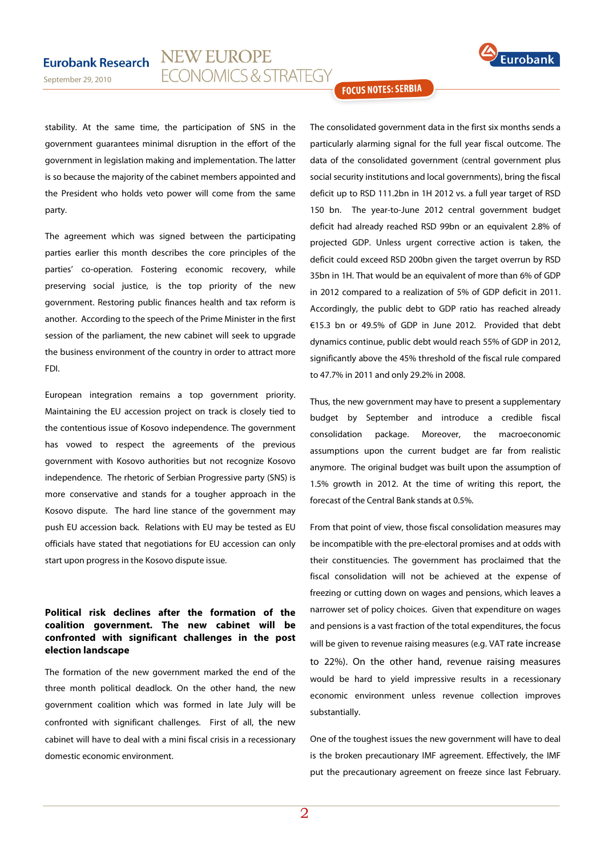# **Eurobank Research**



stability. At the same time, the participation of SNS in the government guarantees minimal disruption in the effort of the government in legislation making and implementation. The latter is so because the majority of the cabinet members appointed and the President who holds veto power will come from the same party.

The agreement which was signed between the participating parties earlier this month describes the core principles of the parties' co-operation. Fostering economic recovery, while preserving social justice, is the top priority of the new government. Restoring public finances health and tax reform is another. According to the speech of the Prime Minister in the first session of the parliament, the new cabinet will seek to upgrade the business environment of the country in order to attract more FDI.

European integration remains a top government priority. Maintaining the EU accession project on track is closely tied to the contentious issue of Kosovo independence. The government has vowed to respect the agreements of the previous government with Kosovo authorities but not recognize Kosovo independence. The rhetoric of Serbian Progressive party (SNS) is more conservative and stands for a tougher approach in the Kosovo dispute. The hard line stance of the government may push EU accession back. Relations with EU may be tested as EU officials have stated that negotiations for EU accession can only start upon progress in the Kosovo dispute issue.

### **Political risk declines after the formation of the coalition government. The new cabinet will be confronted with significant challenges in the post election landscape**

The formation of the new government marked the end of the three month political deadlock. On the other hand, the new government coalition which was formed in late July will be confronted with significant challenges. First of all, the new cabinet will have to deal with a mini fiscal crisis in a recessionary domestic economic environment.

### **FOCUS NOTES: SERBIA**

The consolidated government data in the first six months sends a particularly alarming signal for the full year fiscal outcome. The data of the consolidated government (central government plus social security institutions and local governments), bring the fiscal deficit up to RSD 111.2bn in 1H 2012 vs. a full year target of RSD 150 bn. The year-to-June 2012 central government budget deficit had already reached RSD 99bn or an equivalent 2.8% of projected GDP. Unless urgent corrective action is taken, the deficit could exceed RSD 200bn given the target overrun by RSD 35bn in 1H. That would be an equivalent of more than 6% of GDP in 2012 compared to a realization of 5% of GDP deficit in 2011. Accordingly, the public debt to GDP ratio has reached already €15.3 bn or 49.5% of GDP in June 2012. Provided that debt dynamics continue, public debt would reach 55% of GDP in 2012, significantly above the 45% threshold of the fiscal rule compared to 47.7% in 2011 and only 29.2% in 2008.

Thus, the new government may have to present a supplementary budget by September and introduce a credible fiscal consolidation package. Moreover, the macroeconomic assumptions upon the current budget are far from realistic anymore. The original budget was built upon the assumption of 1.5% growth in 2012. At the time of writing this report, the forecast of the Central Bank stands at 0.5%.

From that point of view, those fiscal consolidation measures may be incompatible with the pre-electoral promises and at odds with their constituencies. The government has proclaimed that the fiscal consolidation will not be achieved at the expense of freezing or cutting down on wages and pensions, which leaves a narrower set of policy choices. Given that expenditure on wages and pensions is a vast fraction of the total expenditures, the focus will be given to revenue raising measures (e.g. VAT rate increase to 22%). On the other hand, revenue raising measures would be hard to yield impressive results in a recessionary economic environment unless revenue collection improves substantially.

One of the toughest issues the new government will have to deal is the broken precautionary IMF agreement. Effectively, the IMF put the precautionary agreement on freeze since last February.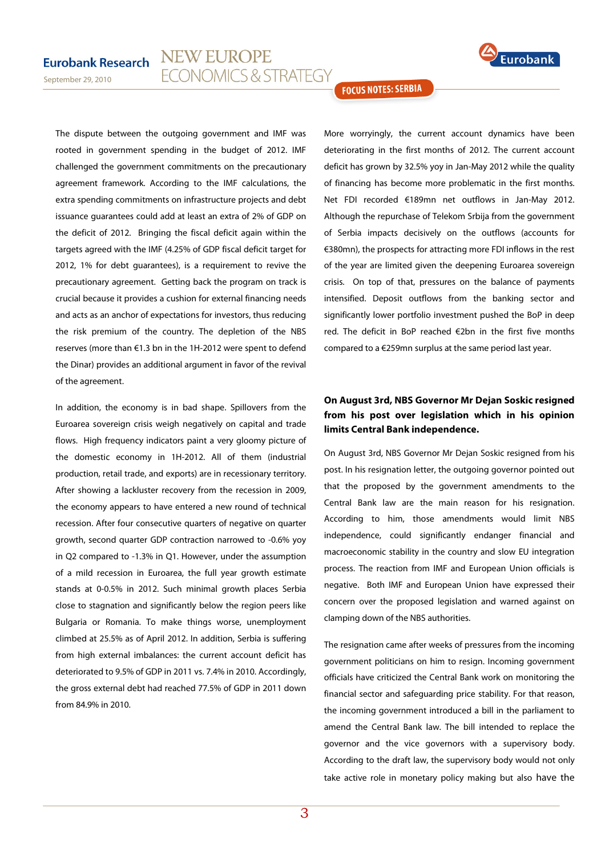

September 29, 2010

The dispute between the outgoing government and IMF was rooted in government spending in the budget of 2012. IMF challenged the government commitments on the precautionary agreement framework. According to the IMF calculations, the extra spending commitments on infrastructure projects and debt issuance guarantees could add at least an extra of 2% of GDP on the deficit of 2012. Bringing the fiscal deficit again within the targets agreed with the IMF (4.25% of GDP fiscal deficit target for 2012, 1% for debt guarantees), is a requirement to revive the precautionary agreement. Getting back the program on track is crucial because it provides a cushion for external financing needs and acts as an anchor of expectations for investors, thus reducing the risk premium of the country. The depletion of the NBS reserves (more than €1.3 bn in the 1H-2012 were spent to defend the Dinar) provides an additional argument in favor of the revival of the agreement.

In addition, the economy is in bad shape. Spillovers from the Euroarea sovereign crisis weigh negatively on capital and trade flows. High frequency indicators paint a very gloomy picture of the domestic economy in 1H-2012. All of them (industrial production, retail trade, and exports) are in recessionary territory. After showing a lackluster recovery from the recession in 2009, the economy appears to have entered a new round of technical recession. After four consecutive quarters of negative on quarter growth, second quarter GDP contraction narrowed to -0.6% yoy in Q2 compared to -1.3% in Q1. However, under the assumption of a mild recession in Euroarea, the full year growth estimate stands at 0-0.5% in 2012. Such minimal growth places Serbia close to stagnation and significantly below the region peers like Bulgaria or Romania. To make things worse, unemployment climbed at 25.5% as of April 2012. In addition, Serbia is suffering from high external imbalances: the current account deficit has deteriorated to 9.5% of GDP in 2011 vs. 7.4% in 2010. Accordingly, the gross external debt had reached 77.5% of GDP in 2011 down from 84.9% in 2010.

**FOCUS NOTES: SERBIA** 

More worryingly, the current account dynamics have been deteriorating in the first months of 2012. The current account deficit has grown by 32.5% yoy in Jan-May 2012 while the quality of financing has become more problematic in the first months. Net FDI recorded €189mn net outflows in Jan-May 2012. Although the repurchase of Telekom Srbija from the government of Serbia impacts decisively on the outflows (accounts for €380mn), the prospects for attracting more FDI inflows in the rest of the year are limited given the deepening Euroarea sovereign crisis. On top of that, pressures on the balance of payments intensified. Deposit outflows from the banking sector and significantly lower portfolio investment pushed the BoP in deep red. The deficit in BoP reached €2bn in the first five months compared to a €259mn surplus at the same period last year.

## **On August 3rd, NBS Governor Mr Dejan Soskic resigned from his post over legislation which in his opinion limits Central Bank independence.**

On August 3rd, NBS Governor Mr Dejan Soskic resigned from his post. In his resignation letter, the outgoing governor pointed out that the proposed by the government amendments to the Central Bank law are the main reason for his resignation. According to him, those amendments would limit NBS independence, could significantly endanger financial and macroeconomic stability in the country and slow EU integration process. The reaction from IMF and European Union officials is negative. Both IMF and European Union have expressed their concern over the proposed legislation and warned against on clamping down of the NBS authorities.

The resignation came after weeks of pressures from the incoming government politicians on him to resign. Incoming government officials have criticized the Central Bank work on monitoring the financial sector and safeguarding price stability. For that reason, the incoming government introduced a bill in the parliament to amend the Central Bank law. The bill intended to replace the governor and the vice governors with a supervisory body. According to the draft law, the supervisory body would not only take active role in monetary policy making but also have the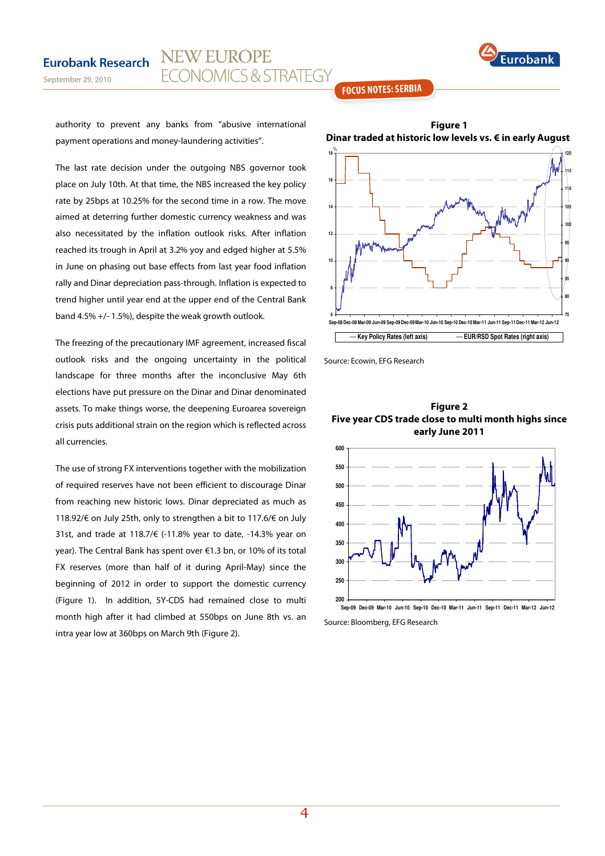

### **FOCUS NOTES: SERBIA**

authority to prevent any banks from "abusive international payment operations and money-laundering activities".

September 29, 2010

The last rate decision under the outgoing NBS governor took place on July 10th. At that time, the NBS increased the key policy rate by 25bps at 10.25% for the second time in a row. The move aimed at deterring further domestic currency weakness and was also necessitated by the inflation outlook risks. After inflation reached its trough in April at 3.2% yoy and edged higher at 5.5% in June on phasing out base effects from last year food inflation rally and Dinar depreciation pass-through. Inflation is expected to trend higher until year end at the upper end of the Central Bank band 4.5% +/- 1.5%), despite the weak growth outlook.

The freezing of the precautionary IMF agreement, increased fiscal outlook risks and the ongoing uncertainty in the political landscape for three months after the inconclusive May 6th elections have put pressure on the Dinar and Dinar denominated assets. To make things worse, the deepening Euroarea sovereign crisis puts additional strain on the region which is reflected across all currencies.

The use of strong FX interventions together with the mobilization of required reserves have not been efficient to discourage Dinar from reaching new historic lows. Dinar depreciated as much as 118.92/€ on July 25th, only to strengthen a bit to 117.6/€ on July 31st, and trade at 118.7/€ (-11.8% year to date, -14.3% year on year). The Central Bank has spent over €1.3 bn, or 10% of its total FX reserves (more than half of it during April-May) since the beginning of 2012 in order to support the domestic currency (Figure 1). In addition, 5Y-CDS had remained close to multi month high after it had climbed at 550bps on June 8th vs. an intra year low at 360bps on March 9th (Figure 2).



Source: Ecowin, EFG Research

**Figure 2 Five year CDS trade close to multi month highs since early June 2011** 



Source: Bloomberg, EFG Research